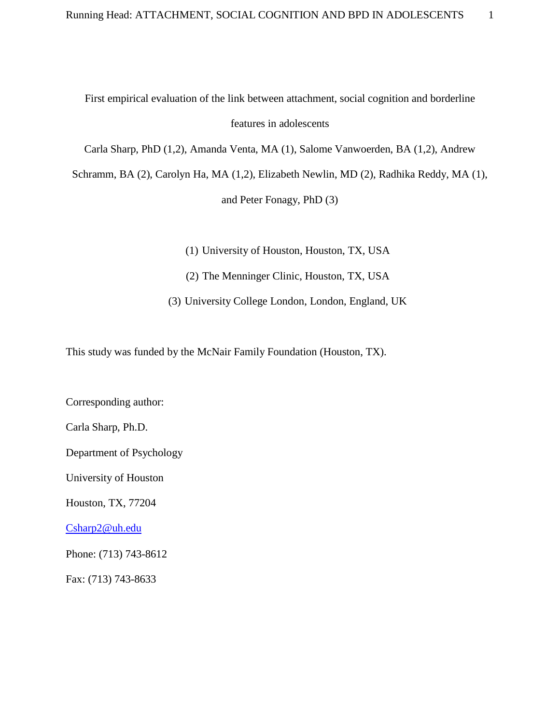First empirical evaluation of the link between attachment, social cognition and borderline

features in adolescents

Carla Sharp, PhD (1,2), Amanda Venta, MA (1), Salome Vanwoerden, BA (1,2), Andrew

Schramm, BA (2), Carolyn Ha, MA (1,2), Elizabeth Newlin, MD (2), Radhika Reddy, MA (1),

and Peter Fonagy, PhD (3)

(1) University of Houston, Houston, TX, USA

(2) The Menninger Clinic, Houston, TX, USA

(3) University College London, London, England, UK

This study was funded by the McNair Family Foundation (Houston, TX).

Corresponding author:

Carla Sharp, Ph.D.

Department of Psychology

University of Houston

Houston, TX, 77204

[Csharp2@uh.edu](mailto:Csharp2@uh.edu)

Phone: (713) 743-8612

Fax: (713) 743-8633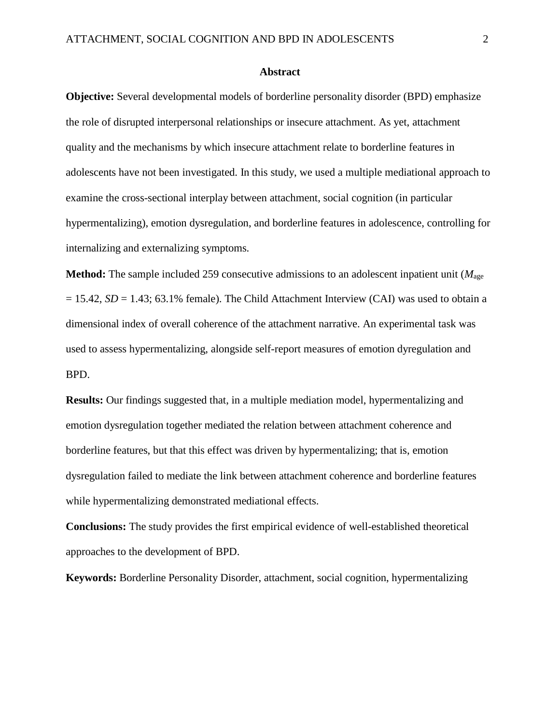#### **Abstract**

**Objective:** Several developmental models of borderline personality disorder (BPD) emphasize the role of disrupted interpersonal relationships or insecure attachment. As yet, attachment quality and the mechanisms by which insecure attachment relate to borderline features in adolescents have not been investigated. In this study, we used a multiple mediational approach to examine the cross-sectional interplay between attachment, social cognition (in particular hypermentalizing), emotion dysregulation, and borderline features in adolescence, controlling for internalizing and externalizing symptoms.

**Method:** The sample included 259 consecutive admissions to an adolescent inpatient unit (*M*age  $= 15.42$ ,  $SD = 1.43$ ;  $63.1\%$  female). The Child Attachment Interview (CAI) was used to obtain a dimensional index of overall coherence of the attachment narrative. An experimental task was used to assess hypermentalizing, alongside self-report measures of emotion dyregulation and BPD.

**Results:** Our findings suggested that, in a multiple mediation model, hypermentalizing and emotion dysregulation together mediated the relation between attachment coherence and borderline features, but that this effect was driven by hypermentalizing; that is, emotion dysregulation failed to mediate the link between attachment coherence and borderline features while hypermentalizing demonstrated mediational effects.

**Conclusions:** The study provides the first empirical evidence of well-established theoretical approaches to the development of BPD.

**Keywords:** Borderline Personality Disorder, attachment, social cognition, hypermentalizing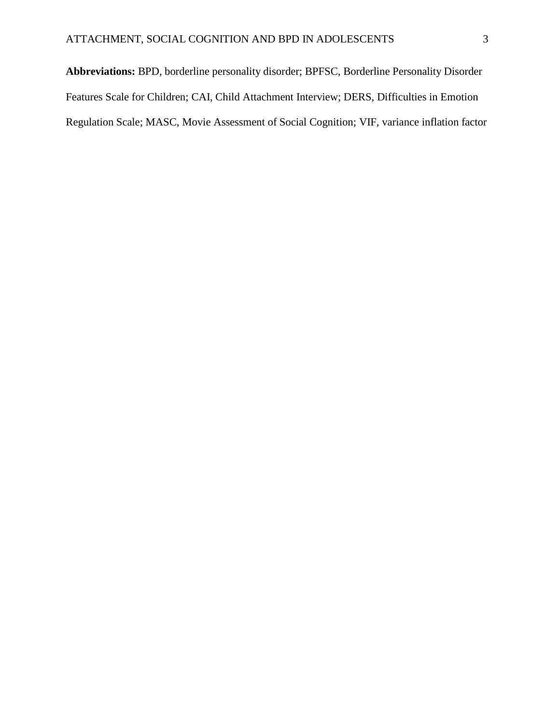**Abbreviations:** BPD, borderline personality disorder; BPFSC, Borderline Personality Disorder Features Scale for Children; CAI, Child Attachment Interview; DERS, Difficulties in Emotion Regulation Scale; MASC, Movie Assessment of Social Cognition; VIF, variance inflation factor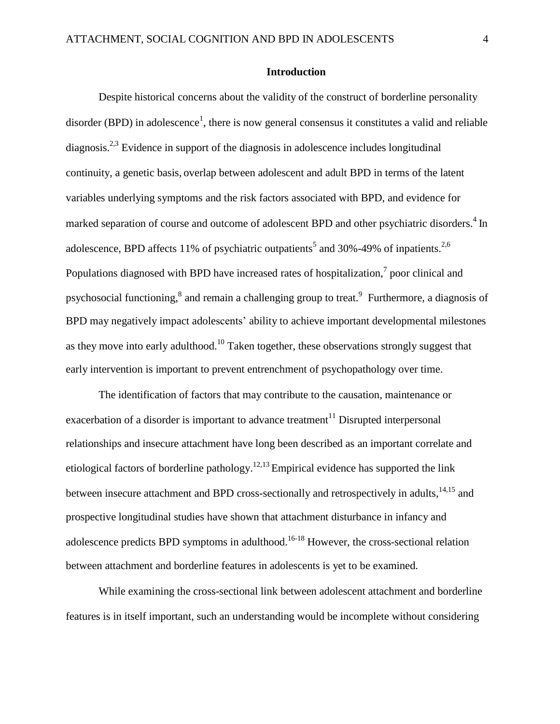#### **Introduction**

Despite historical concerns about the validity of the construct of borderline personality disorder (BPD) in adolescence<sup>[1](#page-21-0)</sup>, there is now general consensus it constitutes a valid and reliable diagnosis.<sup>[2,3](#page-21-1)</sup> Evidence in support of the diagnosis in adolescence includes longitudinal continuity, a genetic basis, overlap between adolescent and adult BPD in terms of the latent variables underlying symptoms and the risk factors associated with BPD, and evidence for marked separation of course and outcome of adolescent BPD and other psychiatric disorders.<sup>[4](#page-21-2)</sup> In adolescence, BPD affects 11% of psychiatric outpatients<sup>[5](#page-21-3)</sup> and 30%-49% of inpatients.<sup>[2,6](#page-21-1)</sup> Populations diagnosed with BPD have increased rates of hospitalization, $^7$  $^7$  poor clinical and psychosocial functionin[g,](#page-21-5) <sup>8</sup> and remain a challenging group to treat.<sup>9</sup> Furthermore, a diagnosis of BPD may negatively impact adolescents' ability to achieve important developmental milestones as they move into early adulthoo[d.](#page-22-1)<sup>10</sup> Taken together, these observations strongly suggest that early intervention is important to prevent entrenchment of psychopathology over time.

The identification of factors that may contribute to the causation, maintenance or exacerbation of a disorder is important to advance treatment<sup>[11](#page-22-2)</sup> Disrupted interpersonal relationships and insecure attachment have long been described as an important correlate and etiological factors of borderline pathology.<sup>[12,13](#page-22-3)</sup> Empirical evidence has supported the link between insecure attachment and BPD cross-sectionally and retrospectively in adults, $14,15$  and prospective longitudinal studies have shown that attachment disturbance in infancy and adolescence predicts BPD symptoms in adulthood.<sup>[16-18](#page-22-5)</sup> However, the cross-sectional relation between attachment and borderline features in adolescents is yet to be examined.

While examining the cross-sectional link between adolescent attachment and borderline features is in itself important, such an understanding would be incomplete without considering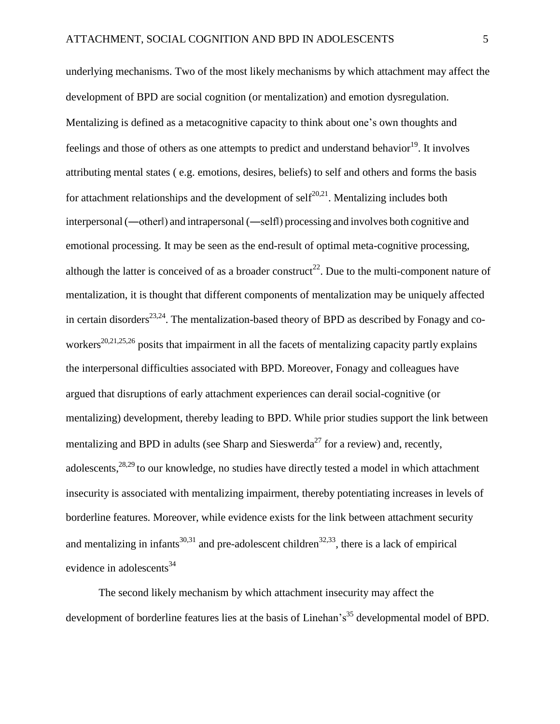underlying mechanisms. Two of the most likely mechanisms by which attachment may affect the development of BPD are social cognition (or mentalization) and emotion dysregulation. Mentalizing is defined as a metacognitive capacity to think about one's own thoughts and feelings and those of others as one attempts to predict and understand behavior<sup>[19](#page-23-0)</sup>. It involves attributing mental states ( e.g. emotions, desires, beliefs) to self and others and forms the basis for attachment relationships and the development of self $20,21$ . Mentalizing includes both interpersonal (―other‖) and intrapersonal (―self‖) processing and involves both cognitive and emotional processing. It may be seen as the end-result of optimal meta-cognitive processing, although the latter is conceived of as a broader construct<sup>[22](#page-23-2)</sup>. Due to the multi-component nature of mentalization, it is thought that different components of mentalization may be uniquely affected in certain disorders<sup>[23,24](#page-23-3)</sup>. The mentalization-based theory of BPD as described by Fonagy and co-workers<sup>[20,21](#page-23-1)[,25,26](#page-24-0)</sup> posits that impairment in all the facets of mentalizing capacity partly explains the interpersonal difficulties associated with BPD. Moreover, Fonagy and colleagues have argued that disruptions of early attachment experiences can derail social-cognitive (or mentalizing) development, thereby leading to BPD. While prior studies support the link between mentalizing and BPD in adults (see Sharp and Sieswerda<sup>[27](#page-24-1)</sup> for a review) and, recently, adolescents,<sup>[28,29](#page-24-2)</sup> to our knowledge, no studies have directly tested a model in which attachment insecurity is associated with mentalizing impairment, thereby potentiating increases in levels of borderline features. Moreover, while evidence exists for the link between attachment security and mentalizing in infants<sup>[30,31](#page-24-3)</sup> and pre-adolescent children<sup>[32,33](#page-25-0)</sup>, there is a lack of empirical evidence in adolescents $34$ 

The second likely mechanism by which attachment insecurity may affect the development of borderline features lies at the basis of Linehan's<sup>[35](#page-25-2)</sup> developmental model of BPD.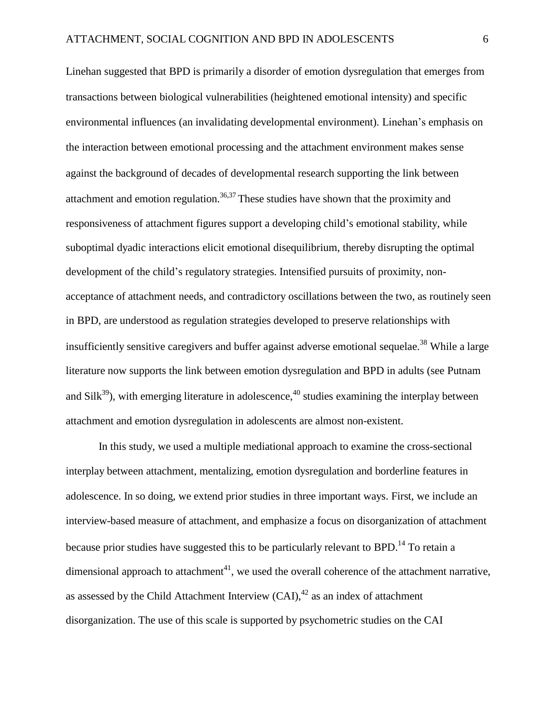Linehan suggested that BPD is primarily a disorder of emotion dysregulation that emerges from transactions between biological vulnerabilities (heightened emotional intensity) and specific environmental influences (an invalidating developmental environment). Linehan's emphasis on the interaction between emotional processing and the attachment environment makes sense against the background of decades of developmental research supporting the link between attachment and emotion regulation.<sup>[36,37](#page-25-3)</sup> These studies have shown that the proximity and responsiveness of attachment figures support a developing child's emotional stability, while suboptimal dyadic interactions elicit emotional disequilibrium, thereby disrupting the optimal development of the child's regulatory strategies. Intensified pursuits of proximity, nonacceptance of attachment needs, and contradictory oscillations between the two, as routinely seen in BPD, are understood as regulation strategies developed to preserve relationships with insufficiently sensitive caregivers and buffer against adverse emotional sequelae.<sup>[38](#page-25-4)</sup> While a large literature now supports the link between emotion dysregulation and BPD in adults (see Putnam and  $\text{Silk}^{39}$  $\text{Silk}^{39}$  $\text{Silk}^{39}$ ), with emerging literature in adolescence,  $40$  studies examining the interplay between attachment and emotion dysregulation in adolescents are almost non-existent.

In this study, we used a multiple mediational approach to examine the cross-sectional interplay between attachment, mentalizing, emotion dysregulation and borderline features in adolescence. In so doing, we extend prior studies in three important ways. First, we include an interview-based measure of attachment, and emphasize a focus on disorganization of attachment because prior studies have suggested this to be particularly relevant to BPD.<sup>[14](#page-22-4)</sup> To retain a dimensional approach to attachment<sup>[41](#page-26-0)</sup>, we used the overall coherence of the attachment narrative, as assessed by the Child Attachment Interview  $(CAI)$ ,<sup>42</sup> as an index of attachment disorganization. The use of this scale is supported by psychometric studies on the CAI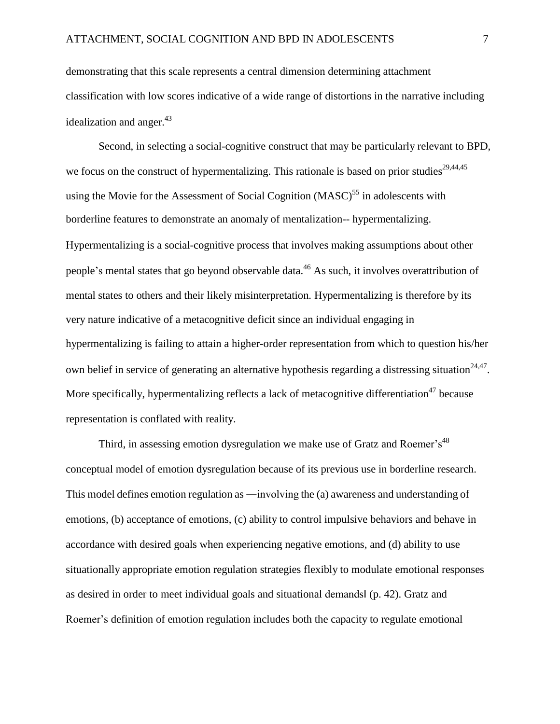demonstrating that this scale represents a central dimension determining attachment classification with low scores indicative of a wide range of distortions in the narrative including idealization and anger. $43$ 

Second, in selecting a social-cognitive construct that may be particularly relevant to BPD, we focus on the construct of hypermentalizing. This rationale is based on prior studies<sup>[29,44](#page-24-4)[,45](#page-26-3)</sup> using the Movie for the Assessment of Social Cognition  $(MASC)^{55}$  in adolescents with borderline features to demonstrate an anomaly of mentalization-- hypermentalizing. Hypermentalizing is a social-cognitive process that involves making assumptions about other people's mental states that go beyond observable data.[46](#page-26-4) As such, it involves overattribution of mental states to others and their likely misinterpretation. Hypermentalizing is therefore by its very nature indicative of a metacognitive deficit since an individual engaging in hypermentalizing is failing to attain a higher-order representation from which to question his/her own belief in service of generating an alternative hypothesis regarding a distressing situation<sup>[24,47](#page-23-4)</sup>. More specifically, hypermentalizing reflects a lack of metacognitive differentiation<sup>[47](#page-26-5)</sup> because representation is conflated with reality.

Third, in assessing emotion dysregulation we make use of Gratz and Roemer's<sup>[48](#page-26-6)</sup> conceptual model of emotion dysregulation because of its previous use in borderline research. This model defines emotion regulation as ―involving the (a) awareness and understanding of emotions, (b) acceptance of emotions, (c) ability to control impulsive behaviors and behave in accordance with desired goals when experiencing negative emotions, and (d) ability to use situationally appropriate emotion regulation strategies flexibly to modulate emotional responses as desired in order to meet individual goals and situational demands‖ (p. 42). Gratz and Roemer's definition of emotion regulation includes both the capacity to regulate emotional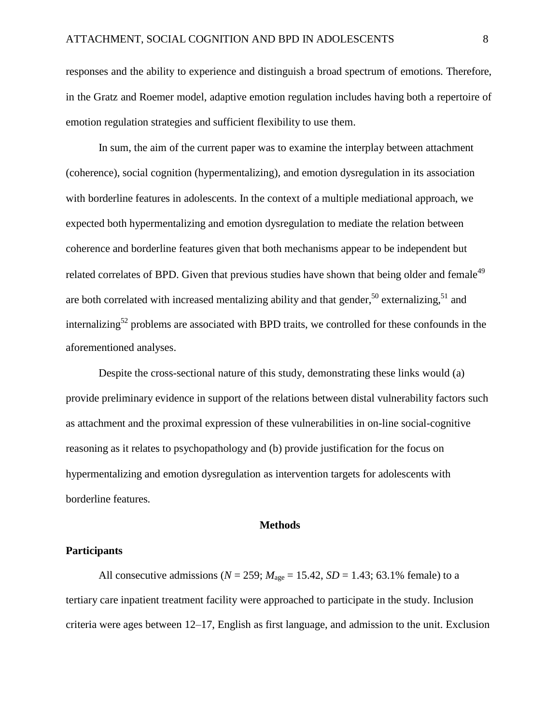responses and the ability to experience and distinguish a broad spectrum of emotions. Therefore, in the Gratz and Roemer model, adaptive emotion regulation includes having both a repertoire of emotion regulation strategies and sufficient flexibility to use them.

In sum, the aim of the current paper was to examine the interplay between attachment (coherence), social cognition (hypermentalizing), and emotion dysregulation in its association with borderline features in adolescents. In the context of a multiple mediational approach, we expected both hypermentalizing and emotion dysregulation to mediate the relation between coherence and borderline features given that both mechanisms appear to be independent but related correlates of BPD. Given that previous studies have shown that being older and female<sup>[49](#page-27-0)</sup> are both correlated with increased mentalizing ability and that gender,  $50$  externalizing,  $51$  and internalizing<sup>[52](#page-27-3)</sup> problems are associated with BPD traits, we controlled for these confounds in the aforementioned analyses.

Despite the cross-sectional nature of this study, demonstrating these links would (a) provide preliminary evidence in support of the relations between distal vulnerability factors such as attachment and the proximal expression of these vulnerabilities in on-line social-cognitive reasoning as it relates to psychopathology and (b) provide justification for the focus on hypermentalizing and emotion dysregulation as intervention targets for adolescents with borderline features.

#### **Methods**

#### **Participants**

All consecutive admissions ( $N = 259$ ;  $M_{\text{age}} = 15.42$ ,  $SD = 1.43$ ; 63.1% female) to a tertiary care inpatient treatment facility were approached to participate in the study. Inclusion criteria were ages between 12–17, English as first language, and admission to the unit. Exclusion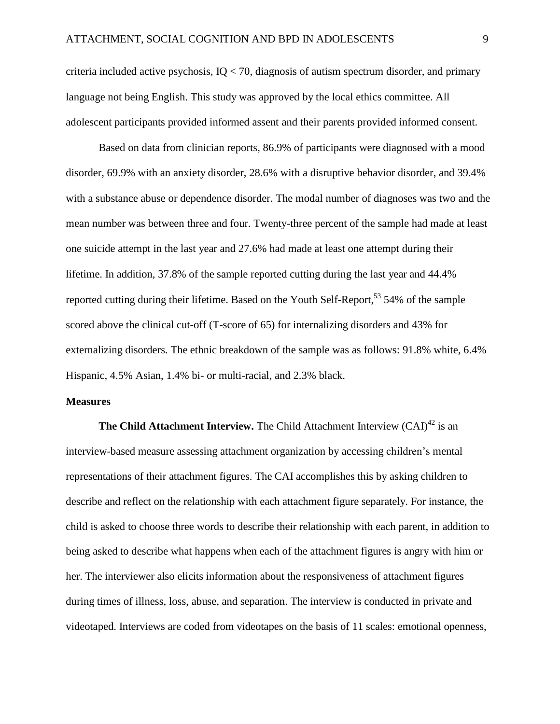criteria included active psychosis,  $IO < 70$ , diagnosis of autism spectrum disorder, and primary language not being English. This study was approved by the local ethics committee. All adolescent participants provided informed assent and their parents provided informed consent.

Based on data from clinician reports, 86.9% of participants were diagnosed with a mood disorder, 69.9% with an anxiety disorder, 28.6% with a disruptive behavior disorder, and 39.4% with a substance abuse or dependence disorder. The modal number of diagnoses was two and the mean number was between three and four. Twenty-three percent of the sample had made at least one suicide attempt in the last year and 27.6% had made at least one attempt during their lifetime. In addition, 37.8% of the sample reported cutting during the last year and 44.4% reported cutting during their lifetime. Based on the Youth Self-Report,  $53\frac{54}{%}$  $53\frac{54}{%}$  of the sample scored above the clinical cut-off (T-score of 65) for internalizing disorders and 43% for externalizing disorders. The ethnic breakdown of the sample was as follows: 91.8% white, 6.4% Hispanic, 4.5% Asian, 1.4% bi- or multi-racial, and 2.3% black.

#### **Measures**

**The Child Attachment Interview.** The Child Attachment Interview (CAI)<sup>[42](#page-26-1)</sup> is an interview-based measure assessing attachment organization by accessing children's mental representations of their attachment figures. The CAI accomplishes this by asking children to describe and reflect on the relationship with each attachment figure separately. For instance, the child is asked to choose three words to describe their relationship with each parent, in addition to being asked to describe what happens when each of the attachment figures is angry with him or her. The interviewer also elicits information about the responsiveness of attachment figures during times of illness, loss, abuse, and separation. The interview is conducted in private and videotaped. Interviews are coded from videotapes on the basis of 11 scales: emotional openness,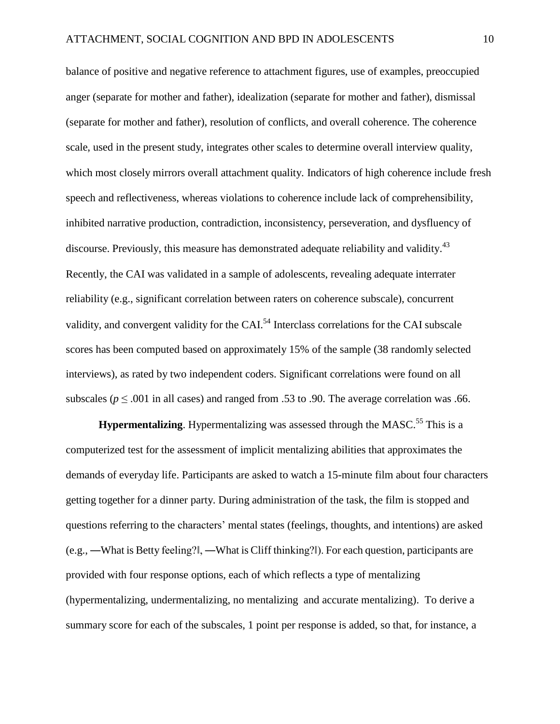balance of positive and negative reference to attachment figures, use of examples, preoccupied anger (separate for mother and father), idealization (separate for mother and father), dismissal (separate for mother and father), resolution of conflicts, and overall coherence. The coherence scale, used in the present study, integrates other scales to determine overall interview quality, which most closely mirrors overall attachment quality. Indicators of high coherence include fresh speech and reflectiveness, whereas violations to coherence include lack of comprehensibility, inhibited narrative production, contradiction, inconsistency, perseveration, and dysfluency of discourse. Previously, this measure has demonstrated adequate reliability and validit[y.](#page-26-2)<sup>43</sup> Recently, the CAI was validated in a sample of adolescents, revealing adequate interrater reliability (e.g., significant correlation between raters on coherence subscale), concurrent validity, and convergent validity for the CAI.[54](#page-27-5) Interclass correlations for the CAI subscale scores has been computed based on approximately 15% of the sample (38 randomly selected interviews), as rated by two independent coders. Significant correlations were found on all subscales ( $p \leq 0.001$  in all cases) and ranged from .53 to .90. The average correlation was .66.

**Hypermentalizing**. Hypermentalizing was assessed through the MASC.<sup>[55](#page-27-6)</sup> This is a computerized test for the assessment of implicit mentalizing abilities that approximates the demands of everyday life. Participants are asked to watch a 15-minute film about four characters getting together for a dinner party. During administration of the task, the film is stopped and questions referring to the characters' mental states (feelings, thoughts, and intentions) are asked (e.g., ―What is Betty feeling?‖, ―What is Cliff thinking?‖). For each question, participants are provided with four response options, each of which reflects a type of mentalizing (hypermentalizing, undermentalizing, no mentalizing and accurate mentalizing). To derive a summary score for each of the subscales, 1 point per response is added, so that, for instance, a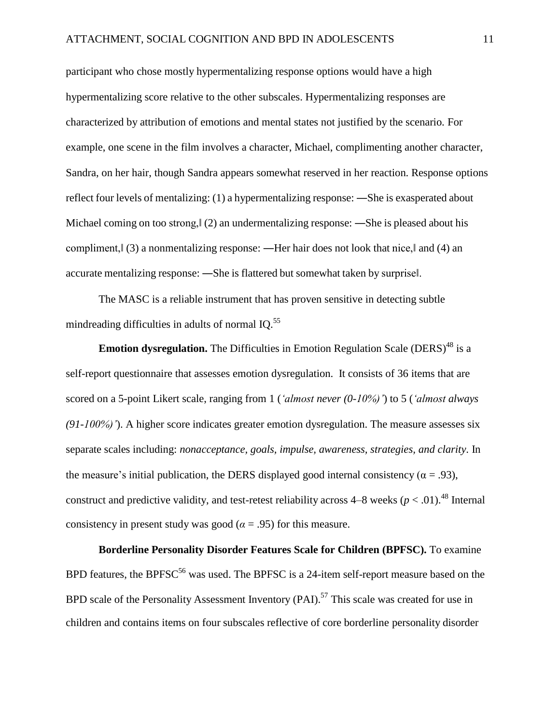participant who chose mostly hypermentalizing response options would have a high hypermentalizing score relative to the other subscales. Hypermentalizing responses are characterized by attribution of emotions and mental states not justified by the scenario. For example, one scene in the film involves a character, Michael, complimenting another character, Sandra, on her hair, though Sandra appears somewhat reserved in her reaction. Response options reflect four levels of mentalizing: (1) a hypermentalizing response: ―She is exasperated about Michael coming on too strong,  $\vert$  (2) an undermentalizing response: —She is pleased about his compliment,  $\lvert$  (3) a nonmentalizing response: —Her hair does not look that nice, and (4) an accurate mentalizing response: ―She is flattered but somewhat taken by surprise‖.

The MASC is a reliable instrument that has proven sensitive in detecting subtle mindreading difficulties in adults of normal  $IO$ <sup>[55](#page-27-6)</sup>

**Emotion dysregulation.** The Difficulties in Emotion Regulation Scale (DERS)<sup>[48](#page-26-6)</sup> is a self-report questionnaire that assesses emotion dysregulation. It consists of 36 items that are scored on a 5-point Likert scale, ranging from 1 (*'almost never (0-10%)'*) to 5 (*'almost always (91-100%)'*). A higher score indicates greater emotion dysregulation. The measure assesses six separate scales including: *nonacceptance, goals, impulse, awareness, strategies, and clarity*. In the measure's initial publication, the DERS displayed good internal consistency ( $\alpha = .93$ ), construct and predictive validity, and test-retest reliability across  $4-8$  weeks ( $p < .01$ ).<sup>[48](#page-26-6)</sup> Internal consistency in present study was good ( $\alpha$  = .95) for this measure.

**Borderline Personality Disorder Features Scale for Children (BPFSC).** To examine BPD features, the BPFSC<sup>[56](#page-27-7)</sup> was used. The BPFSC is a 24-item self-report measure based on the BPD scale of the Personality Assessment Inventory (PAI).<sup>[57](#page-27-8)</sup> This scale was created for use in children and contains items on four subscales reflective of core borderline personality disorder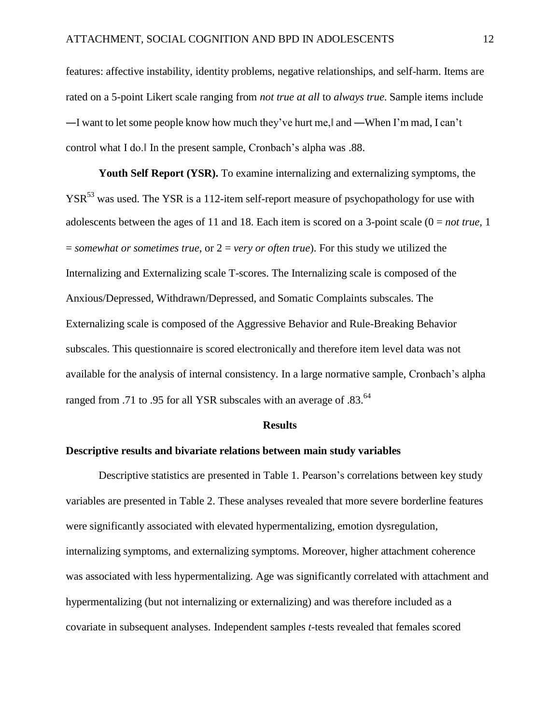features: affective instability, identity problems, negative relationships, and self-harm. Items are rated on a 5-point Likert scale ranging from *not true at all* to *always true*. Sample items include ―I want to let some people know how much they've hurt me,‖ and ―When I'm mad, I can't control what I do.‖ In the present sample, Cronbach's alpha was .88.

**Youth Self Report (YSR).** To examine internalizing and externalizing symptoms, the YSR<sup>[53](#page-27-4)</sup> was used. The YSR is a 112-item self-report measure of psychopathology for use with adolescents between the ages of 11 and 18. Each item is scored on a 3-point scale (0 = *not true*, 1 = *somewhat or sometimes true*, or 2 = *very or often true*). For this study we utilized the Internalizing and Externalizing scale T-scores. The Internalizing scale is composed of the Anxious/Depressed, Withdrawn/Depressed, and Somatic Complaints subscales. The Externalizing scale is composed of the Aggressive Behavior and Rule-Breaking Behavior subscales. This questionnaire is scored electronically and therefore item level data was not available for the analysis of internal consistency. In a large normative sample, Cronbach's alpha ranged from .71 to .95 for all YSR subscales with an average of .83.<sup>64</sup>

#### **Results**

#### **Descriptive results and bivariate relations between main study variables**

Descriptive statistics are presented in Table 1. Pearson's correlations between key study variables are presented in Table 2. These analyses revealed that more severe borderline features were significantly associated with elevated hypermentalizing, emotion dysregulation, internalizing symptoms, and externalizing symptoms. Moreover, higher attachment coherence was associated with less hypermentalizing. Age was significantly correlated with attachment and hypermentalizing (but not internalizing or externalizing) and was therefore included as a covariate in subsequent analyses. Independent samples *t*-tests revealed that females scored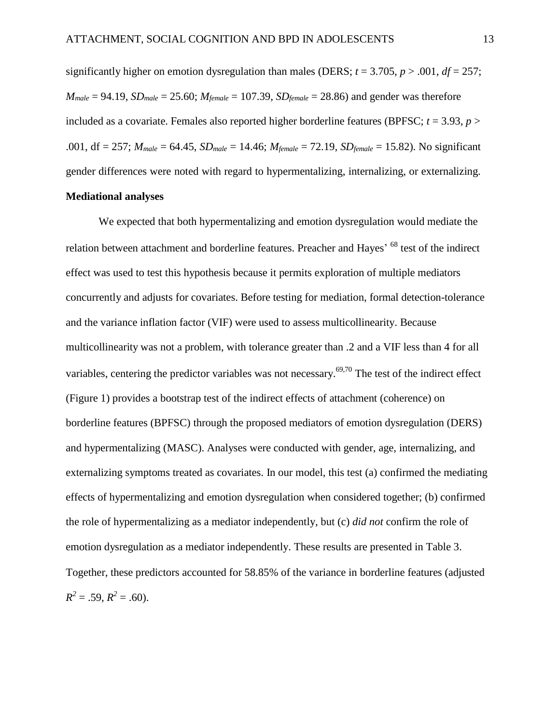significantly higher on emotion dysregulation than males (DERS;  $t = 3.705$ ,  $p > .001$ ,  $df = 257$ ;  $M_{male} = 94.19$ ,  $SD_{male} = 25.60$ ;  $M_{female} = 107.39$ ,  $SD_{female} = 28.86$ ) and gender was therefore included as a covariate. Females also reported higher borderline features (BPFSC;  $t = 3.93$ ,  $p >$ .001, df = 257; *Mmale* = 64.45, *SDmale* = 14.46; *Mfemale* = 72.19, *SDfemale* = 15.82). No significant gender differences were noted with regard to hypermentalizing, internalizing, or externalizing. **Mediational analyses**

# We expected that both hypermentalizing and emotion dysregulation would mediate the relation between attachment and borderline features. Preacher and Hayes<sup>, 68</sup> test of the indirect effect was used to test this hypothesis because it permits exploration of multiple mediators concurrently and adjusts for covariates. Before testing for mediation, formal detection-tolerance and the variance inflation factor (VIF) were used to assess multicollinearity. Because multicollinearity was not a problem, with tolerance greater than .2 and a VIF less than 4 for all variables, centering the predictor variables was not necessary.<sup>69,70</sup> The test of the indirect effect (Figure 1) provides a bootstrap test of the indirect effects of attachment (coherence) on borderline features (BPFSC) through the proposed mediators of emotion dysregulation (DERS) and hypermentalizing (MASC). Analyses were conducted with gender, age, internalizing, and externalizing symptoms treated as covariates. In our model, this test (a) confirmed the mediating effects of hypermentalizing and emotion dysregulation when considered together; (b) confirmed the role of hypermentalizing as a mediator independently, but (c) *did not* confirm the role of emotion dysregulation as a mediator independently. These results are presented in Table 3. Together, these predictors accounted for 58.85% of the variance in borderline features (adjusted

 $R^2 = .59$ ,  $R^2 = .60$ ).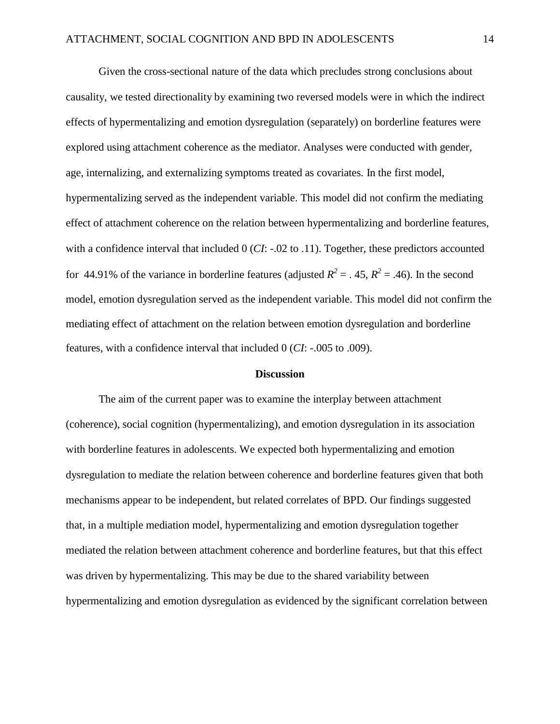Given the cross-sectional nature of the data which precludes strong conclusions about causality, we tested directionality by examining two reversed models were in which the indirect effects of hypermentalizing and emotion dysregulation (separately) on borderline features were explored using attachment coherence as the mediator. Analyses were conducted with gender, age, internalizing, and externalizing symptoms treated as covariates. In the first model, hypermentalizing served as the independent variable. This model did not confirm the mediating effect of attachment coherence on the relation between hypermentalizing and borderline features, with a confidence interval that included 0 (*CI*: -.02 to .11). Together, these predictors accounted for 44.91% of the variance in borderline features (adjusted  $R^2 = 0.45$ ,  $R^2 = 0.46$ ). In the second model, emotion dysregulation served as the independent variable. This model did not confirm the mediating effect of attachment on the relation between emotion dysregulation and borderline features, with a confidence interval that included 0 (*CI*: -.005 to .009).

#### **Discussion**

The aim of the current paper was to examine the interplay between attachment (coherence), social cognition (hypermentalizing), and emotion dysregulation in its association with borderline features in adolescents. We expected both hypermentalizing and emotion dysregulation to mediate the relation between coherence and borderline features given that both mechanisms appear to be independent, but related correlates of BPD. Our findings suggested that, in a multiple mediation model, hypermentalizing and emotion dysregulation together mediated the relation between attachment coherence and borderline features, but that this effect was driven by hypermentalizing. This may be due to the shared variability between hypermentalizing and emotion dysregulation as evidenced by the significant correlation between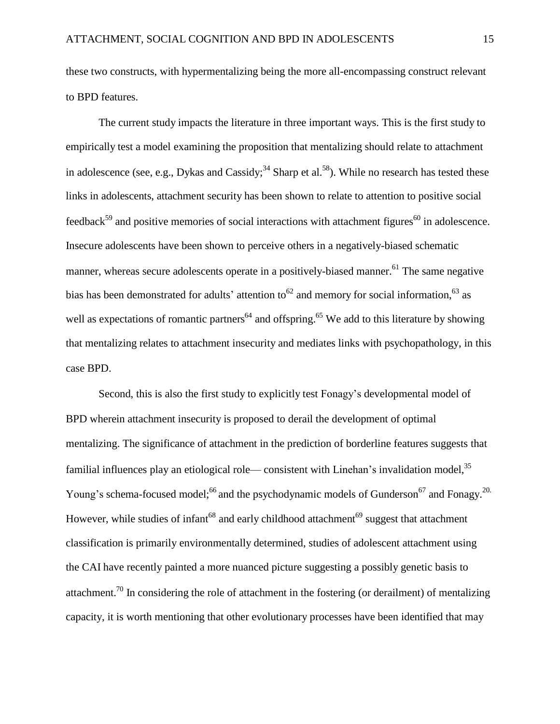these two constructs, with hypermentalizing being the more all-encompassing construct relevant to BPD features.

The current study impacts the literature in three important ways. This is the first study to empirically test a model examining the proposition that mentalizing should relate to attachment in adolescence (see, e.g., Dykas and Cassidy;<sup>[34](#page-25-1)</sup> Sharp et al.<sup>[58](#page-28-0)</sup>). While no research has tested these links in adolescents, attachment security has been shown to relate to attention to positive social  $f$ eedback<sup>[59](#page-28-1)</sup> and positive memories of social interactions with attachment figures<sup>[60](#page-28-2)</sup> in adolescence. Insecure adolescents have been shown to perceive others in a negatively-biased schematic manner, whereas secure adolescents operate in a positively-biased manne[r.](#page-28-3)<sup>61</sup> The same negative bias has been demonstrated for adults' attention to  $62$  and memory for social information,  $63$  as well as expectations of romantic partners<sup>[64](#page-28-6)</sup> and offspring.<sup>[65](#page-28-7)</sup> We add to this literature by showing that mentalizing relates to attachment insecurity and mediates links with psychopathology, in this case BPD.

Second, this is also the first study to explicitly test Fonagy's developmental model of BPD wherein attachment insecurity is proposed to derail the development of optimal mentalizing. The significance of attachment in the prediction of borderline features suggests that familial influences play an etiological role— consistent with Linehan's invalidation mode[l,](#page-25-2)<sup>35</sup> Young's schema-focused model;<sup>[66](#page-29-0)</sup> and the psychodynamic models of Gunderson<sup>[67](#page-29-1)</sup> and Fonag[y.](#page-23-1)<sup>20.</sup> However, while studies of infant<sup>[68](#page-29-2)</sup> and early childhood attachment<sup>[69](#page-29-3)</sup> suggest that attachment classification is primarily environmentally determined, studies of adolescent attachment using the CAI have recently painted a more nuanced picture suggesting a possibly genetic basis to attachment.<sup>[70](#page-29-4)</sup> In considering the role of attachment in the fostering (or derailment) of mentalizing capacity, it is worth mentioning that other evolutionary processes have been identified that may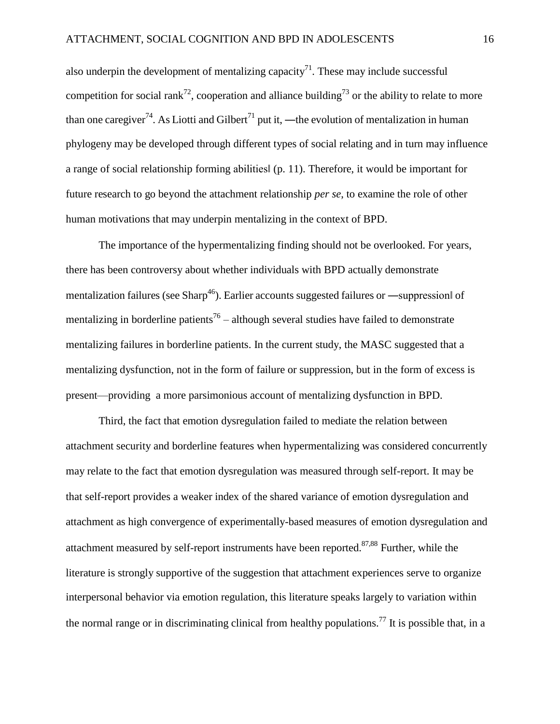also underpin the development of mentalizing capacity<sup>[71](#page-29-5)</sup>. These may include successful competition for social rank<sup>[72](#page-29-6)</sup>, cooperation and alliance building<sup>[73](#page-29-7)</sup> or the ability to relate to more than one caregiver<sup>[74](#page-29-8)</sup>. As Liotti and Gilbert<sup>[71](#page-29-5)</sup> put it, —the evolution of mentalization in human phylogeny may be developed through different types of social relating and in turn may influence a range of social relationship forming abilities‖ (p. 11). Therefore, it would be important for future research to go beyond the attachment relationship *per se*, to examine the role of other human motivations that may underpin mentalizing in the context of BPD.

The importance of the hypermentalizing finding should not be overlooked. For years, there has been controversy about whether individuals with BPD actually demonstrate mentalization failures (see Sharp<sup>[46](#page-26-4)</sup>). Earlier accounts suggested failures or —suppression of mentalizing in borderline patients<sup>[76](#page-30-0)</sup> – although several studies have failed to demonstrate mentalizing failures in borderline patients. In the current study, the MASC suggested that a mentalizing dysfunction, not in the form of failure or suppression, but in the form of excess is present—providing a more parsimonious account of mentalizing dysfunction in BPD.

Third, the fact that emotion dysregulation failed to mediate the relation between attachment security and borderline features when hypermentalizing was considered concurrently may relate to the fact that emotion dysregulation was measured through self-report. It may be that self-report provides a weaker index of the shared variance of emotion dysregulation and attachment as high convergence of experimentally-based measures of emotion dysregulation and attachment measured by self-report instruments have been reported. $87,88$  Further, while the literature is strongly supportive of the suggestion that attachment experiences serve to organize interpersonal behavior via emotion regulation, this literature speaks largely to variation within the normal range or in discriminating clinical from healthy populations.<sup>[77](#page-30-1)</sup> It is possible that, in a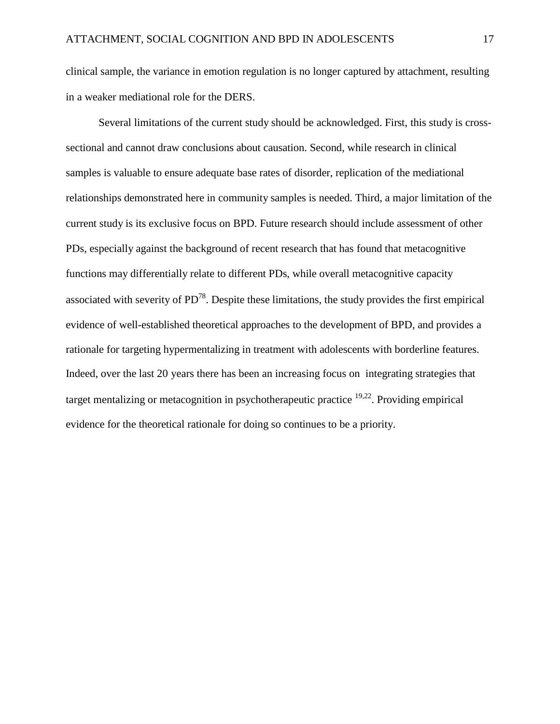clinical sample, the variance in emotion regulation is no longer captured by attachment, resulting in a weaker mediational role for the DERS.

Several limitations of the current study should be acknowledged. First, this study is crosssectional and cannot draw conclusions about causation. Second, while research in clinical samples is valuable to ensure adequate base rates of disorder, replication of the mediational relationships demonstrated here in community samples is needed. Third, a major limitation of the current study is its exclusive focus on BPD. Future research should include assessment of other PDs, especially against the background of recent research that has found that metacognitive functions may differentially relate to different PDs, while overall metacognitive capacity associated with severity of  $PD^{78}$  $PD^{78}$  $PD^{78}$ . Despite these limitations, the study provides the first empirical evidence of well-established theoretical approaches to the development of BPD, and provides a rationale for targeting hypermentalizing in treatment with adolescents with borderline features. Indeed, over the last 20 years there has been an increasing focus on integrating strategies that target mentalizing or metacognition in psychotherapeutic practice <sup>[19,22](#page-23-0)</sup>. Providing empirical evidence for the theoretical rationale for doing so continues to be a priority.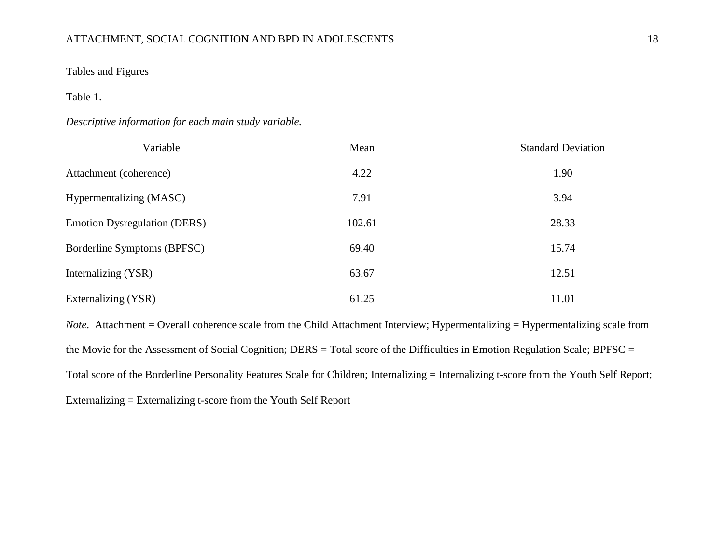## ATTACHMENT, SOCIAL COGNITION AND BPD IN ADOLESCENTS 18

Tables and Figures

Table 1.

*Descriptive information for each main study variable.*

| Variable                            | Mean   | <b>Standard Deviation</b> |
|-------------------------------------|--------|---------------------------|
| Attachment (coherence)              | 4.22   | 1.90                      |
| Hypermentalizing (MASC)             | 7.91   | 3.94                      |
| <b>Emotion Dysregulation (DERS)</b> | 102.61 | 28.33                     |
| Borderline Symptoms (BPFSC)         | 69.40  | 15.74                     |
| Internalizing (YSR)                 | 63.67  | 12.51                     |
| Externalizing (YSR)                 | 61.25  | 11.01                     |

*Note*. Attachment = Overall coherence scale from the Child Attachment Interview; Hypermentalizing = Hypermentalizing scale from the Movie for the Assessment of Social Cognition; DERS = Total score of the Difficulties in Emotion Regulation Scale; BPFSC = Total score of the Borderline Personality Features Scale for Children; Internalizing = Internalizing t-score from the Youth Self Report; Externalizing = Externalizing t-score from the Youth Self Report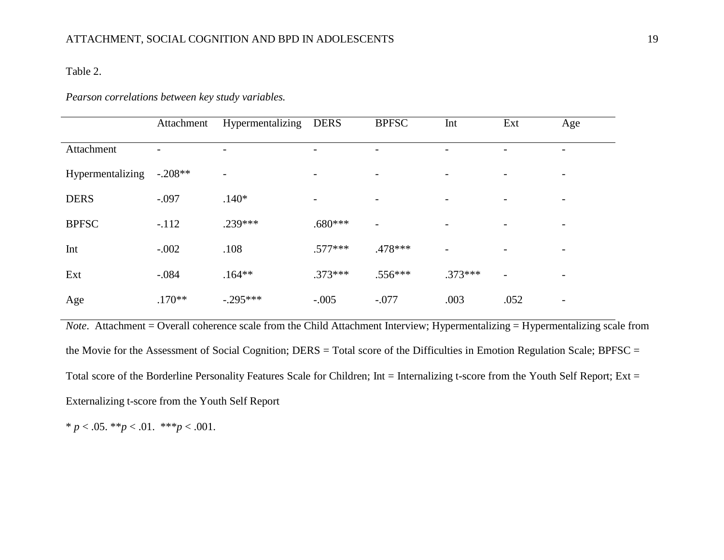## Table 2.

## *Pearson correlations between key study variables.*

|                  | Attachment | Hypermentalizing         | <b>DERS</b> | <b>BPFSC</b>             | Int       | Ext                      | Age                      |
|------------------|------------|--------------------------|-------------|--------------------------|-----------|--------------------------|--------------------------|
| Attachment       |            |                          |             | -                        |           |                          |                          |
| Hypermentalizing | $-.208**$  | $\overline{\phantom{0}}$ |             | $\overline{\phantom{a}}$ |           |                          |                          |
| <b>DERS</b>      | $-.097$    | $.140*$                  |             | $\overline{\phantom{a}}$ |           |                          |                          |
| <b>BPFSC</b>     | $-.112$    | .239***                  | $.680***$   | $\overline{\phantom{a}}$ |           |                          |                          |
| Int              | $-.002$    | .108                     | $.577***$   | .478***                  |           |                          |                          |
| Ext              | $-.084$    | $.164**$                 | $.373***$   | $.556***$                | $.373***$ | $\overline{\phantom{a}}$ |                          |
| Age              | $.170**$   | $-.295***$               | $-.005$     | $-.077$                  | .003      | .052                     | $\overline{\phantom{0}}$ |

*Note*. Attachment = Overall coherence scale from the Child Attachment Interview; Hypermentalizing = Hypermentalizing scale from the Movie for the Assessment of Social Cognition; DERS = Total score of the Difficulties in Emotion Regulation Scale; BPFSC = Total score of the Borderline Personality Features Scale for Children; Int = Internalizing t-score from the Youth Self Report; Ext = Externalizing t-score from the Youth Self Report

\* *p* < .05. \*\**p* < .01. \*\*\**p* < .001.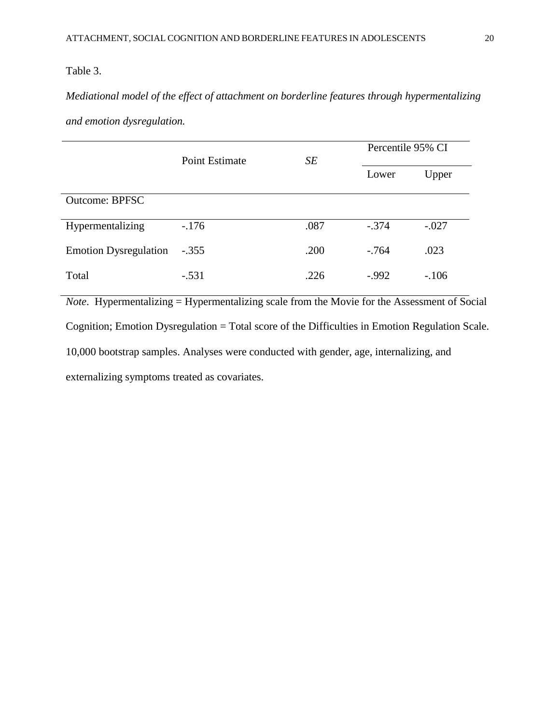## Table 3.

*Mediational model of the effect of attachment on borderline features through hypermentalizing and emotion dysregulation.*

|                              | Point Estimate | SE   | Percentile 95% CI |         |  |
|------------------------------|----------------|------|-------------------|---------|--|
|                              |                |      | Lower             | Upper   |  |
| <b>Outcome: BPFSC</b>        |                |      |                   |         |  |
| Hypermentalizing             | $-176$         | .087 | $-.374$           | $-.027$ |  |
| <b>Emotion Dysregulation</b> | $-.355$        | .200 | $-.764$           | .023    |  |
| Total                        | $-.531$        | .226 | $-0.992$          | $-.106$ |  |

*Note*. Hypermentalizing = Hypermentalizing scale from the Movie for the Assessment of Social Cognition; Emotion Dysregulation = Total score of the Difficulties in Emotion Regulation Scale. 10,000 bootstrap samples. Analyses were conducted with gender, age, internalizing, and externalizing symptoms treated as covariates.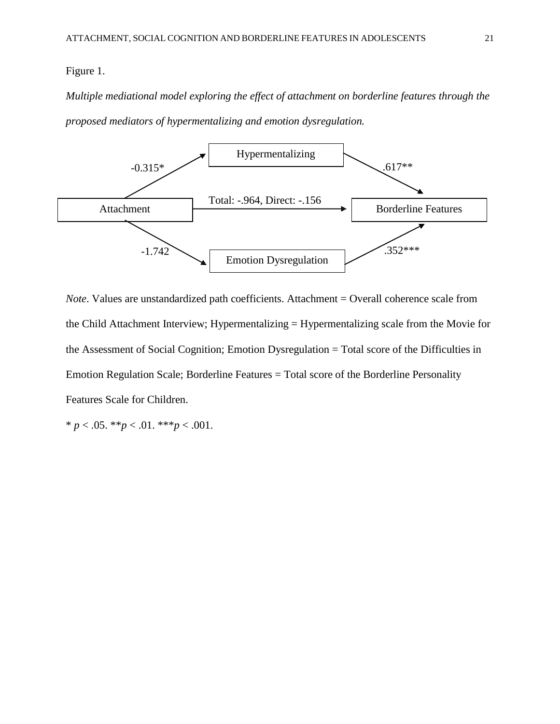### Figure 1.

*Multiple mediational model exploring the effect of attachment on borderline features through the proposed mediators of hypermentalizing and emotion dysregulation.*



*Note*. Values are unstandardized path coefficients. Attachment = Overall coherence scale from the Child Attachment Interview; Hypermentalizing = Hypermentalizing scale from the Movie for the Assessment of Social Cognition; Emotion Dysregulation = Total score of the Difficulties in Emotion Regulation Scale; Borderline Features = Total score of the Borderline Personality Features Scale for Children.

\* *p* < .05. \*\**p* < .01. \*\*\**p* < .001.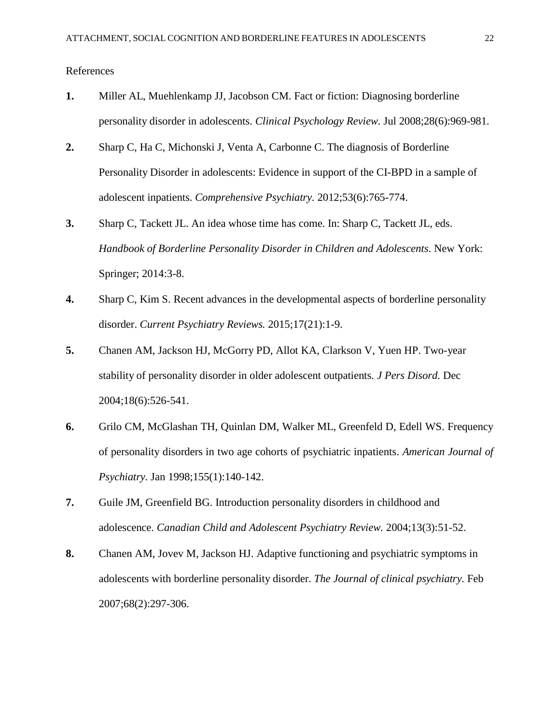References

- <span id="page-21-0"></span>**1.** Miller AL, Muehlenkamp JJ, Jacobson CM. Fact or fiction: Diagnosing borderline personality disorder in adolescents. *Clinical Psychology Review.* Jul 2008;28(6):969-981.
- <span id="page-21-1"></span>**2.** Sharp C, Ha C, Michonski J, Venta A, Carbonne C. The diagnosis of Borderline Personality Disorder in adolescents: Evidence in support of the CI-BPD in a sample of adolescent inpatients. *Comprehensive Psychiatry.* 2012;53(6):765-774.
- **3.** Sharp C, Tackett JL. An idea whose time has come. In: Sharp C, Tackett JL, eds. *Handbook of Borderline Personality Disorder in Children and Adolescents*. New York: Springer; 2014:3-8.
- <span id="page-21-2"></span>**4.** Sharp C, Kim S. Recent advances in the developmental aspects of borderline personality disorder. *Current Psychiatry Reviews.* 2015;17(21):1-9.
- <span id="page-21-3"></span>**5.** Chanen AM, Jackson HJ, McGorry PD, Allot KA, Clarkson V, Yuen HP. Two-year stability of personality disorder in older adolescent outpatients. *J Pers Disord.* Dec 2004;18(6):526-541.
- **6.** Grilo CM, McGlashan TH, Quinlan DM, Walker ML, Greenfeld D, Edell WS. Frequency of personality disorders in two age cohorts of psychiatric inpatients. *American Journal of Psychiatry.* Jan 1998;155(1):140-142.
- <span id="page-21-4"></span>**7.** Guile JM, Greenfield BG. Introduction personality disorders in childhood and adolescence. *Canadian Child and Adolescent Psychiatry Review.* 2004;13(3):51-52.
- <span id="page-21-5"></span>**8.** Chanen AM, Jovev M, Jackson HJ. Adaptive functioning and psychiatric symptoms in adolescents with borderline personality disorder. *The Journal of clinical psychiatry.* Feb 2007;68(2):297-306.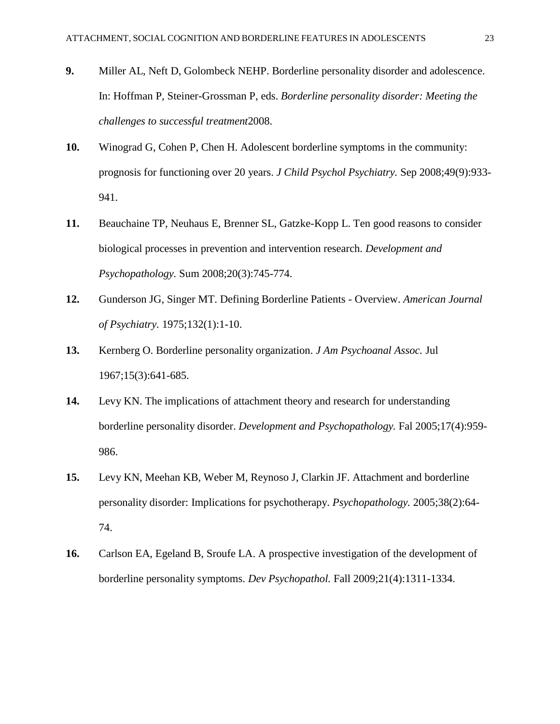- <span id="page-22-0"></span>**9.** Miller AL, Neft D, Golombeck NEHP. Borderline personality disorder and adolescence. In: Hoffman P, Steiner-Grossman P, eds. *Borderline personality disorder: Meeting the challenges to successful treatment*2008.
- <span id="page-22-1"></span>**10.** Winograd G, Cohen P, Chen H. Adolescent borderline symptoms in the community: prognosis for functioning over 20 years. *J Child Psychol Psychiatry.* Sep 2008;49(9):933- 941.
- <span id="page-22-2"></span>**11.** Beauchaine TP, Neuhaus E, Brenner SL, Gatzke-Kopp L. Ten good reasons to consider biological processes in prevention and intervention research. *Development and Psychopathology.* Sum 2008;20(3):745-774.
- <span id="page-22-3"></span>**12.** Gunderson JG, Singer MT. Defining Borderline Patients - Overview. *American Journal of Psychiatry.* 1975;132(1):1-10.
- **13.** Kernberg O. Borderline personality organization. *J Am Psychoanal Assoc.* Jul 1967;15(3):641-685.
- <span id="page-22-4"></span>**14.** Levy KN. The implications of attachment theory and research for understanding borderline personality disorder. *Development and Psychopathology.* Fal 2005;17(4):959- 986.
- **15.** Levy KN, Meehan KB, Weber M, Reynoso J, Clarkin JF. Attachment and borderline personality disorder: Implications for psychotherapy. *Psychopathology.* 2005;38(2):64- 74.
- <span id="page-22-5"></span>**16.** Carlson EA, Egeland B, Sroufe LA. A prospective investigation of the development of borderline personality symptoms. *Dev Psychopathol.* Fall 2009;21(4):1311-1334.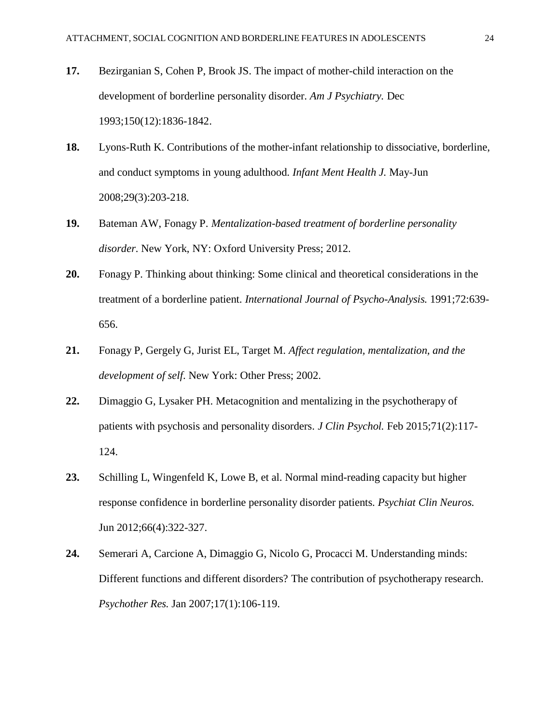- **17.** Bezirganian S, Cohen P, Brook JS. The impact of mother-child interaction on the development of borderline personality disorder. *Am J Psychiatry.* Dec 1993;150(12):1836-1842.
- **18.** Lyons-Ruth K. Contributions of the mother-infant relationship to dissociative, borderline, and conduct symptoms in young adulthood. *Infant Ment Health J.* May-Jun 2008;29(3):203-218.
- <span id="page-23-0"></span>**19.** Bateman AW, Fonagy P. *Mentalization-based treatment of borderline personality disorder*. New York, NY: Oxford University Press; 2012.
- <span id="page-23-1"></span>**20.** Fonagy P. Thinking about thinking: Some clinical and theoretical considerations in the treatment of a borderline patient. *International Journal of Psycho-Analysis.* 1991;72:639- 656.
- **21.** Fonagy P, Gergely G, Jurist EL, Target M. *Affect regulation, mentalization, and the development of self*. New York: Other Press; 2002.
- <span id="page-23-2"></span>**22.** Dimaggio G, Lysaker PH. Metacognition and mentalizing in the psychotherapy of patients with psychosis and personality disorders. *J Clin Psychol.* Feb 2015;71(2):117- 124.
- <span id="page-23-3"></span>**23.** Schilling L, Wingenfeld K, Lowe B, et al. Normal mind-reading capacity but higher response confidence in borderline personality disorder patients. *Psychiat Clin Neuros.* Jun 2012;66(4):322-327.
- <span id="page-23-4"></span>**24.** Semerari A, Carcione A, Dimaggio G, Nicolo G, Procacci M. Understanding minds: Different functions and different disorders? The contribution of psychotherapy research. *Psychother Res.* Jan 2007;17(1):106-119.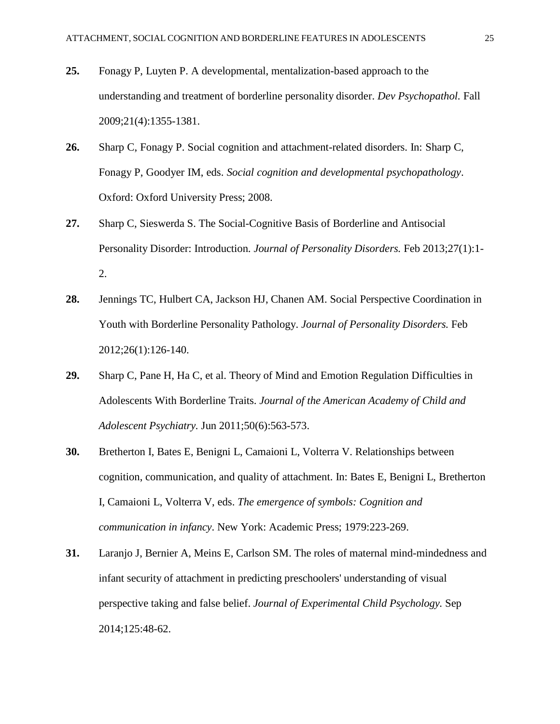- <span id="page-24-0"></span>**25.** Fonagy P, Luyten P. A developmental, mentalization-based approach to the understanding and treatment of borderline personality disorder. *Dev Psychopathol.* Fall 2009;21(4):1355-1381.
- **26.** Sharp C, Fonagy P. Social cognition and attachment-related disorders. In: Sharp C, Fonagy P, Goodyer IM, eds. *Social cognition and developmental psychopathology*. Oxford: Oxford University Press; 2008.
- <span id="page-24-1"></span>**27.** Sharp C, Sieswerda S. The Social-Cognitive Basis of Borderline and Antisocial Personality Disorder: Introduction. *Journal of Personality Disorders.* Feb 2013;27(1):1- 2.
- <span id="page-24-2"></span>**28.** Jennings TC, Hulbert CA, Jackson HJ, Chanen AM. Social Perspective Coordination in Youth with Borderline Personality Pathology. *Journal of Personality Disorders.* Feb 2012;26(1):126-140.
- <span id="page-24-4"></span>**29.** Sharp C, Pane H, Ha C, et al. Theory of Mind and Emotion Regulation Difficulties in Adolescents With Borderline Traits. *Journal of the American Academy of Child and Adolescent Psychiatry.* Jun 2011;50(6):563-573.
- <span id="page-24-3"></span>**30.** Bretherton I, Bates E, Benigni L, Camaioni L, Volterra V. Relationships between cognition, communication, and quality of attachment. In: Bates E, Benigni L, Bretherton I, Camaioni L, Volterra V, eds. *The emergence of symbols: Cognition and communication in infancy*. New York: Academic Press; 1979:223-269.
- **31.** Laranjo J, Bernier A, Meins E, Carlson SM. The roles of maternal mind-mindedness and infant security of attachment in predicting preschoolers' understanding of visual perspective taking and false belief. *Journal of Experimental Child Psychology.* Sep 2014;125:48-62.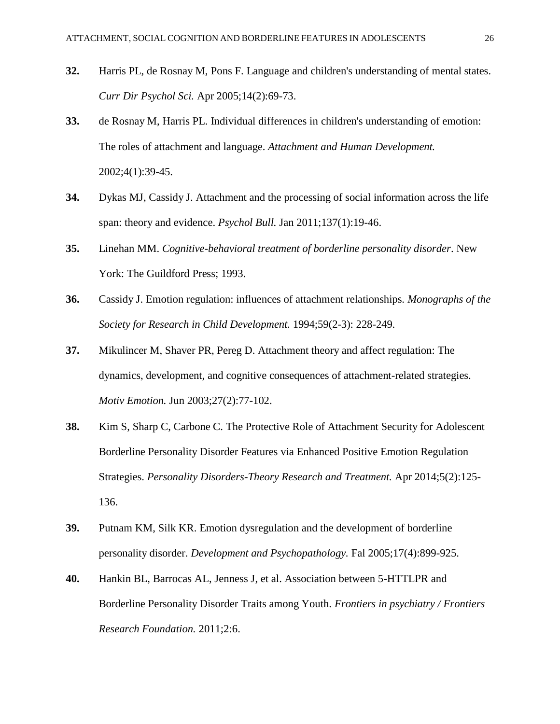- <span id="page-25-0"></span>**32.** Harris PL, de Rosnay M, Pons F. Language and children's understanding of mental states. *Curr Dir Psychol Sci.* Apr 2005;14(2):69-73.
- **33.** de Rosnay M, Harris PL. Individual differences in children's understanding of emotion: The roles of attachment and language. *Attachment and Human Development.* 2002;4(1):39-45.
- <span id="page-25-1"></span>**34.** Dykas MJ, Cassidy J. Attachment and the processing of social information across the life span: theory and evidence. *Psychol Bull.* Jan 2011;137(1):19-46.
- <span id="page-25-2"></span>**35.** Linehan MM. *Cognitive-behavioral treatment of borderline personality disorder*. New York: The Guildford Press; 1993.
- <span id="page-25-3"></span>**36.** Cassidy J. Emotion regulation: influences of attachment relationships. *Monographs of the Society for Research in Child Development.* 1994;59(2-3): 228-249.
- **37.** Mikulincer M, Shaver PR, Pereg D. Attachment theory and affect regulation: The dynamics, development, and cognitive consequences of attachment-related strategies. *Motiv Emotion.* Jun 2003;27(2):77-102.
- <span id="page-25-4"></span>**38.** Kim S, Sharp C, Carbone C. The Protective Role of Attachment Security for Adolescent Borderline Personality Disorder Features via Enhanced Positive Emotion Regulation Strategies. *Personality Disorders-Theory Research and Treatment.* Apr 2014;5(2):125- 136.
- <span id="page-25-5"></span>**39.** Putnam KM, Silk KR. Emotion dysregulation and the development of borderline personality disorder. *Development and Psychopathology.* Fal 2005;17(4):899-925.
- <span id="page-25-6"></span>**40.** Hankin BL, Barrocas AL, Jenness J, et al. Association between 5-HTTLPR and Borderline Personality Disorder Traits among Youth. *Frontiers in psychiatry / Frontiers Research Foundation.* 2011;2:6.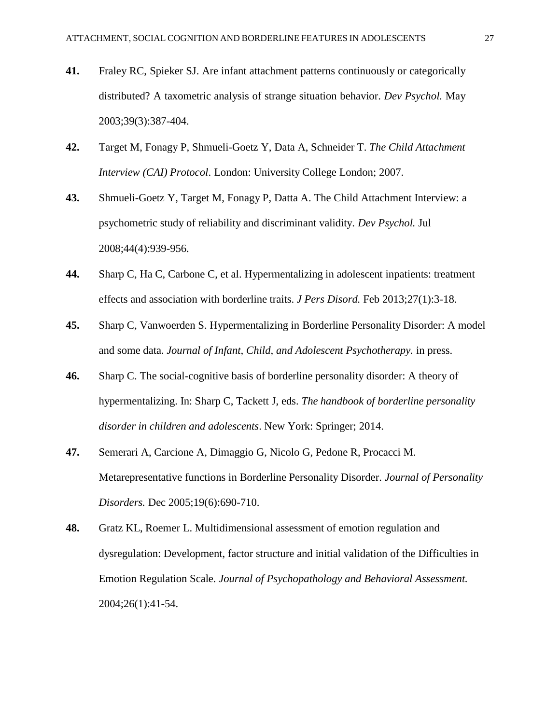- <span id="page-26-0"></span>**41.** Fraley RC, Spieker SJ. Are infant attachment patterns continuously or categorically distributed? A taxometric analysis of strange situation behavior. *Dev Psychol.* May 2003;39(3):387-404.
- <span id="page-26-1"></span>**42.** Target M, Fonagy P, Shmueli-Goetz Y, Data A, Schneider T. *The Child Attachment Interview (CAI) Protocol*. London: University College London; 2007.
- <span id="page-26-2"></span>**43.** Shmueli-Goetz Y, Target M, Fonagy P, Datta A. The Child Attachment Interview: a psychometric study of reliability and discriminant validity. *Dev Psychol.* Jul 2008;44(4):939-956.
- **44.** Sharp C, Ha C, Carbone C, et al. Hypermentalizing in adolescent inpatients: treatment effects and association with borderline traits. *J Pers Disord.* Feb 2013;27(1):3-18.
- <span id="page-26-3"></span>**45.** Sharp C, Vanwoerden S. Hypermentalizing in Borderline Personality Disorder: A model and some data. *Journal of Infant, Child, and Adolescent Psychotherapy.* in press.
- <span id="page-26-4"></span>**46.** Sharp C. The social-cognitive basis of borderline personality disorder: A theory of hypermentalizing. In: Sharp C, Tackett J, eds. *The handbook of borderline personality disorder in children and adolescents*. New York: Springer; 2014.
- <span id="page-26-5"></span>**47.** Semerari A, Carcione A, Dimaggio G, Nicolo G, Pedone R, Procacci M. Metarepresentative functions in Borderline Personality Disorder. *Journal of Personality Disorders.* Dec 2005;19(6):690-710.
- <span id="page-26-6"></span>**48.** Gratz KL, Roemer L. Multidimensional assessment of emotion regulation and dysregulation: Development, factor structure and initial validation of the Difficulties in Emotion Regulation Scale. *Journal of Psychopathology and Behavioral Assessment.* 2004;26(1):41-54.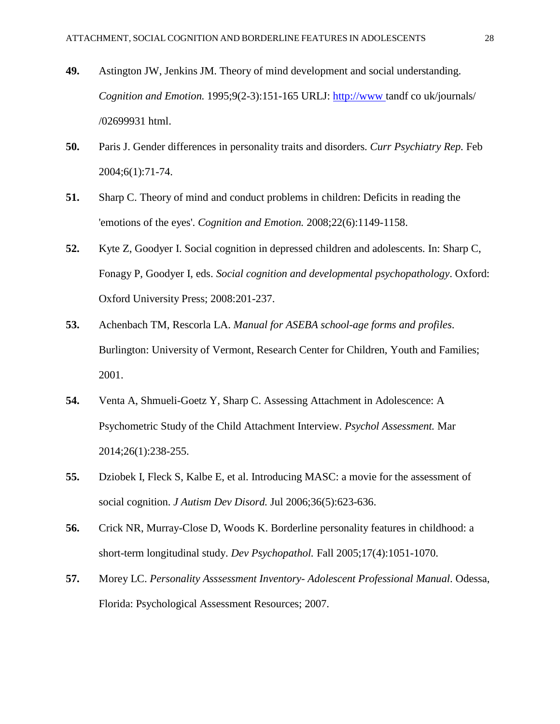- <span id="page-27-0"></span>**49.** Astington JW, Jenkins JM. Theory of mind development and social understanding. *Cognition and Emotion.* 1995;9(2-3):151-165 URLJ: [http://www](http://www/) tandf co uk/journals/ /02699931 html.
- <span id="page-27-1"></span>**50.** Paris J. Gender differences in personality traits and disorders. *Curr Psychiatry Rep.* Feb 2004;6(1):71-74.
- <span id="page-27-2"></span>**51.** Sharp C. Theory of mind and conduct problems in children: Deficits in reading the 'emotions of the eyes'. *Cognition and Emotion.* 2008;22(6):1149-1158.
- <span id="page-27-3"></span>**52.** Kyte Z, Goodyer I. Social cognition in depressed children and adolescents. In: Sharp C, Fonagy P, Goodyer I, eds. *Social cognition and developmental psychopathology*. Oxford: Oxford University Press; 2008:201-237.
- <span id="page-27-4"></span>**53.** Achenbach TM, Rescorla LA. *Manual for ASEBA school-age forms and profiles*. Burlington: University of Vermont, Research Center for Children, Youth and Families; 2001.
- <span id="page-27-5"></span>**54.** Venta A, Shmueli-Goetz Y, Sharp C. Assessing Attachment in Adolescence: A Psychometric Study of the Child Attachment Interview. *Psychol Assessment.* Mar 2014;26(1):238-255.
- <span id="page-27-6"></span>**55.** Dziobek I, Fleck S, Kalbe E, et al. Introducing MASC: a movie for the assessment of social cognition. *J Autism Dev Disord.* Jul 2006;36(5):623-636.
- <span id="page-27-7"></span>**56.** Crick NR, Murray-Close D, Woods K. Borderline personality features in childhood: a short-term longitudinal study. *Dev Psychopathol.* Fall 2005;17(4):1051-1070.
- <span id="page-27-8"></span>**57.** Morey LC. *Personality Asssessment Inventory- Adolescent Professional Manual*. Odessa, Florida: Psychological Assessment Resources; 2007.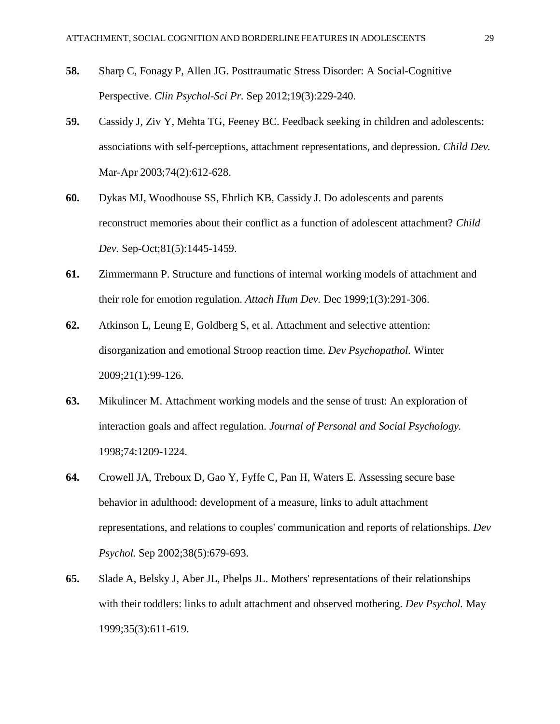- <span id="page-28-0"></span>**58.** Sharp C, Fonagy P, Allen JG. Posttraumatic Stress Disorder: A Social-Cognitive Perspective. *Clin Psychol-Sci Pr.* Sep 2012;19(3):229-240.
- <span id="page-28-1"></span>**59.** Cassidy J, Ziv Y, Mehta TG, Feeney BC. Feedback seeking in children and adolescents: associations with self-perceptions, attachment representations, and depression. *Child Dev.* Mar-Apr 2003;74(2):612-628.
- <span id="page-28-2"></span>**60.** Dykas MJ, Woodhouse SS, Ehrlich KB, Cassidy J. Do adolescents and parents reconstruct memories about their conflict as a function of adolescent attachment? *Child Dev.* Sep-Oct;81(5):1445-1459.
- <span id="page-28-3"></span>**61.** Zimmermann P. Structure and functions of internal working models of attachment and their role for emotion regulation. *Attach Hum Dev.* Dec 1999;1(3):291-306.
- <span id="page-28-4"></span>**62.** Atkinson L, Leung E, Goldberg S, et al. Attachment and selective attention: disorganization and emotional Stroop reaction time. *Dev Psychopathol.* Winter 2009;21(1):99-126.
- <span id="page-28-5"></span>**63.** Mikulincer M. Attachment working models and the sense of trust: An exploration of interaction goals and affect regulation. *Journal of Personal and Social Psychology.* 1998;74:1209-1224.
- <span id="page-28-6"></span>**64.** Crowell JA, Treboux D, Gao Y, Fyffe C, Pan H, Waters E. Assessing secure base behavior in adulthood: development of a measure, links to adult attachment representations, and relations to couples' communication and reports of relationships. *Dev Psychol.* Sep 2002;38(5):679-693.
- <span id="page-28-7"></span>**65.** Slade A, Belsky J, Aber JL, Phelps JL. Mothers' representations of their relationships with their toddlers: links to adult attachment and observed mothering. *Dev Psychol.* May 1999;35(3):611-619.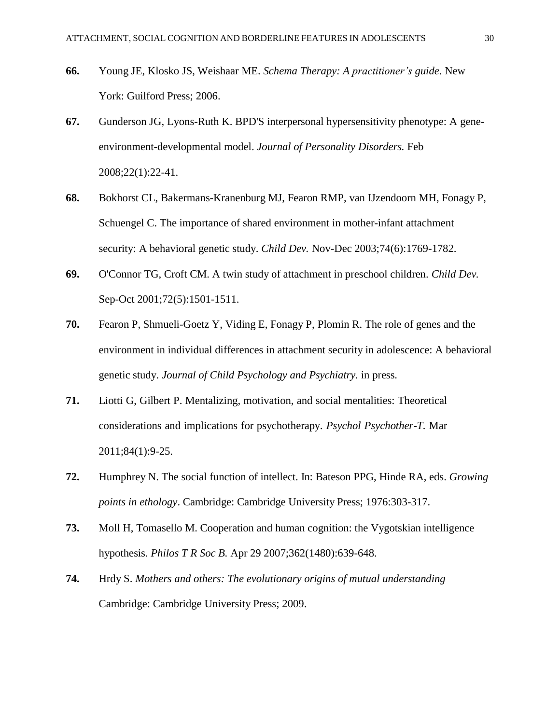- <span id="page-29-0"></span>**66.** Young JE, Klosko JS, Weishaar ME. *Schema Therapy: A practitioner's guide*. New York: Guilford Press; 2006.
- <span id="page-29-1"></span>**67.** Gunderson JG, Lyons-Ruth K. BPD'S interpersonal hypersensitivity phenotype: A geneenvironment-developmental model. *Journal of Personality Disorders.* Feb 2008;22(1):22-41.
- <span id="page-29-2"></span>**68.** Bokhorst CL, Bakermans-Kranenburg MJ, Fearon RMP, van IJzendoorn MH, Fonagy P, Schuengel C. The importance of shared environment in mother-infant attachment security: A behavioral genetic study. *Child Dev.* Nov-Dec 2003;74(6):1769-1782.
- <span id="page-29-3"></span>**69.** O'Connor TG, Croft CM. A twin study of attachment in preschool children. *Child Dev.* Sep-Oct 2001;72(5):1501-1511.
- <span id="page-29-4"></span>**70.** Fearon P, Shmueli-Goetz Y, Viding E, Fonagy P, Plomin R. The role of genes and the environment in individual differences in attachment security in adolescence: A behavioral genetic study. *Journal of Child Psychology and Psychiatry.* in press.
- <span id="page-29-5"></span>**71.** Liotti G, Gilbert P. Mentalizing, motivation, and social mentalities: Theoretical considerations and implications for psychotherapy. *Psychol Psychother-T.* Mar 2011;84(1):9-25.
- <span id="page-29-6"></span>**72.** Humphrey N. The social function of intellect. In: Bateson PPG, Hinde RA, eds. *Growing points in ethology*. Cambridge: Cambridge University Press; 1976:303-317.
- <span id="page-29-7"></span>**73.** Moll H, Tomasello M. Cooperation and human cognition: the Vygotskian intelligence hypothesis. *Philos T R Soc B.* Apr 29 2007;362(1480):639-648.
- <span id="page-29-8"></span>**74.** Hrdy S. *Mothers and others: The evolutionary origins of mutual understanding* Cambridge: Cambridge University Press; 2009.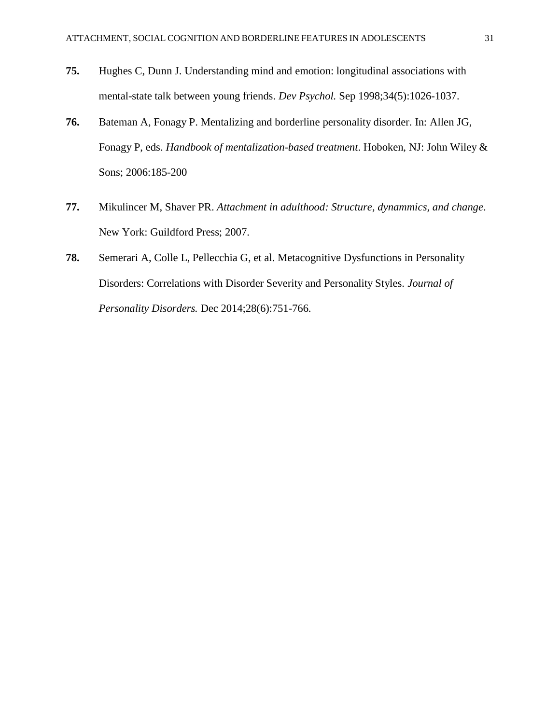- **75.** Hughes C, Dunn J. Understanding mind and emotion: longitudinal associations with mental-state talk between young friends. *Dev Psychol.* Sep 1998;34(5):1026-1037.
- <span id="page-30-0"></span>**76.** Bateman A, Fonagy P. Mentalizing and borderline personality disorder. In: Allen JG, Fonagy P, eds. *Handbook of mentalization-based treatment*. Hoboken, NJ: John Wiley & Sons; 2006:185-200
- <span id="page-30-1"></span>**77.** Mikulincer M, Shaver PR. *Attachment in adulthood: Structure, dynammics, and change*. New York: Guildford Press; 2007.
- <span id="page-30-2"></span>**78.** Semerari A, Colle L, Pellecchia G, et al. Metacognitive Dysfunctions in Personality Disorders: Correlations with Disorder Severity and Personality Styles. *Journal of Personality Disorders.* Dec 2014;28(6):751-766.